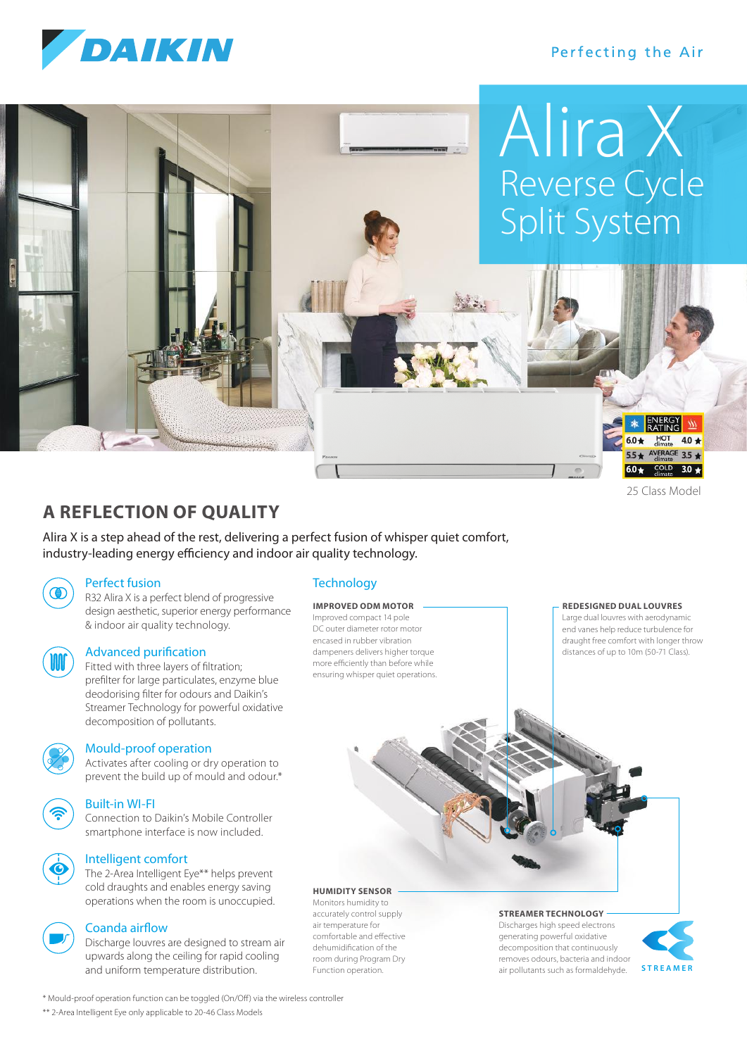

## Perfecting the Air



# **A REFLECTION OF QUALITY**

Alira X is a step ahead of the rest, delivering a perfect fusion of whisper quiet comfort, industry-leading energy efficiency and indoor air quality technology.

## Perfect fusion

R32 Alira X is a perfect blend of progressive design aesthetic, superior energy performance & indoor air quality technology.



## Advanced purification

 Fitted with three layers of filtration; prefilter for large particulates, enzyme blue deodorising filter for odours and Daikin's Streamer Technology for powerful oxidative decomposition of pollutants.



## Mould-proof operation

 Activates after cooling or dry operation to prevent the build up of mould and odour.\*

## Built-in WI-FI

 Connection to Daikin's Mobile Controller smartphone interface is now included.

## Intelligent comfort

 The 2-Area Intelligent Eye\*\* helps prevent cold draughts and enables energy saving operations when the room is unoccupied.

## Coanda airflow

 Discharge louvres are designed to stream air upwards along the ceiling for rapid cooling and uniform temperature distribution.

## **Technology**

#### **IMPROVED ODM MOTOR**

Improved compact 14 pole DC outer diameter rotor motor encased in rubber vibration dampeners delivers higher torque more efficiently than before while ensuring whisper quiet operations.

#### **REDESIGNED DUAL LOUVRES**

Large dual louvres with aerodynamic end vanes help reduce turbulence for draught free comfort with longer throw distances of up to 10m (50-71 Class).

### **HUMIDITY SENSOR**

Monitors humidity to accurately control supply air temperature for comfortable and effective dehumidification of the room during Program Dry Function operation.

## **STREAMER TECHNOLOGY**

**Discharges high speed electrons** generating powerful oxidative decomposition that continuously removes odours, bacteria and indoor air pollutants such as formaldehyde.



\* Mould-proof operation function can be toggled (On/Off) via the wireless controller

\*\* 2-Area Intelligent Eye only applicable to 20-46 Class Models